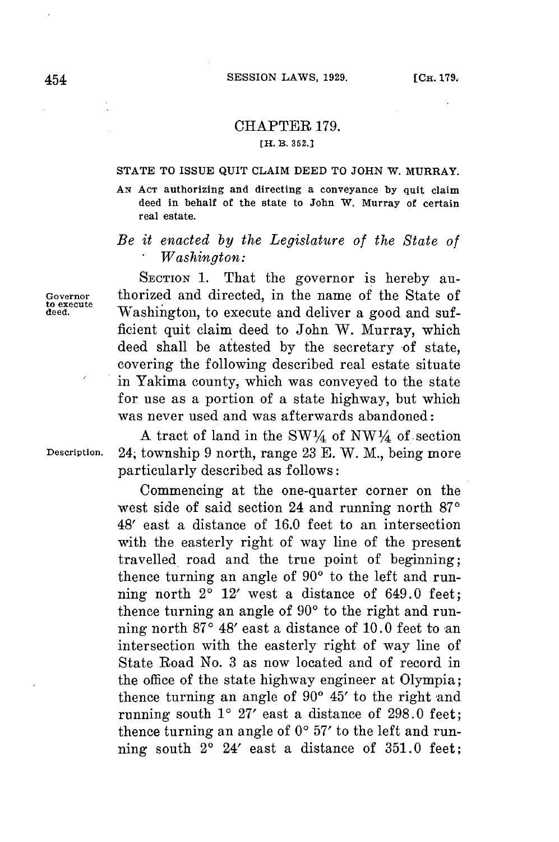## CHAPTER **179.**

### [H. B. **352.]**

#### **STATE TO ISSUE QUIT CLAIM DEED TO JOHN W. MURRAY.**

**AN ACT authorizing and directing a conveyance by quit claim deed in behalf of the state to John W. Murray of certain real estate.**

# *Be it enacted by the Legislature of the State of . Washington:*

SECTION 1. That the governor is hereby au-Governor thorized and directed, in the name of the State of Washington, to execute and deliver a good and sufficient quit claim deed to John W. Murray, which deed shall be attested **by** the secretary of state, covering the following described real estate situate in Yakima county, which was conveyed to the state **for** use as a portion of a state highway, but which was never used and was afterwards abandoned:

A tract of land in the  $SW<sup>1</sup>/<sub>4</sub>$  of NW<sup>1</sup>/4 of section Description. 24, township **9** north, range **23 E.** W. M., being more particularly described as follows:

> Commencing at the one-quarter corner on the west side of said section 24 and running north 87<sup>o</sup> 48' east a distance of **16.0** feet to an intersection with the easterly right of way line of the present travelled road and the true point of beginning; thence turning an angle of  $90^\circ$  to the left and running north  $2^{\circ}$  12' west a distance of 649.0 feet; thence turning an angle of 90° to the right and running north  $87^\circ$  48' east a distance of 10.0 feet to an intersection with the easterly right of way line of State Road No. **3** as now located and of record in the office of the state highway engineer at Olympia; thence turning an angle of  $90^\circ$   $45'$  to the right and running south **10 27'** east a distance of **298.0** feet; thence turning an angle of  $0^{\circ}$  57' to the left and running south 20 24' east a distance of **351.0** feet;

to execute<br>deed.